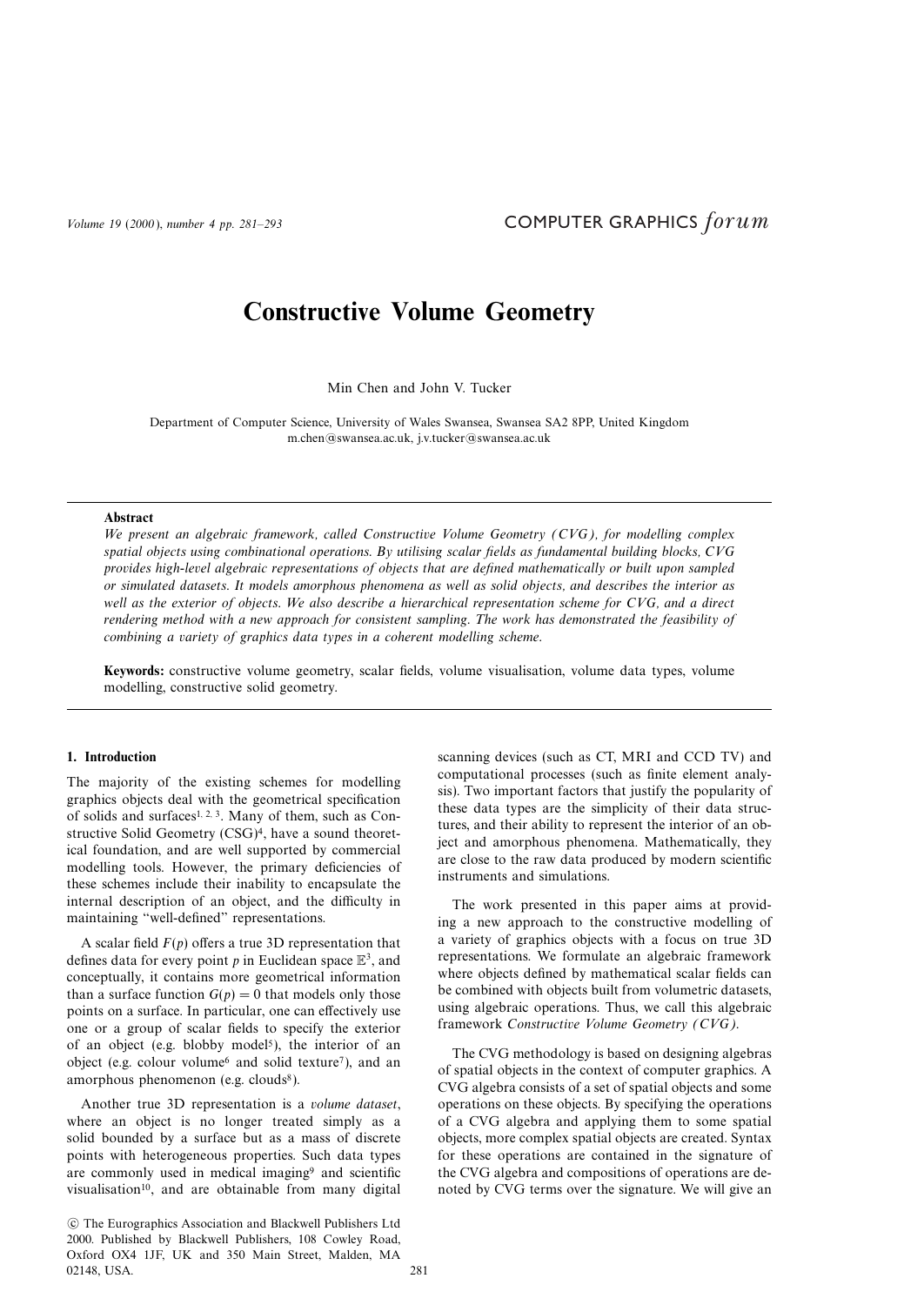# **Constructive Volume Geometry**

Min Chen and John V. Tucker

Department of Computer Science, University of Wales Swansea, Swansea SA2 8PP, United Kingdom m.chen@swansea.ac.uk, j.v.tucker@swansea.ac.uk

### **Abstract**

We present an algebraic framework, called Constructive Volume Geometry (CVG), for modelling complex spatial objects using combinational operations. By utilising scalar fields as fundamental building blocks, CVG provides high-level algebraic representations of objects that are defined mathematically or built upon sampled or simulated datasets. It models amorphous phenomena as well as solid objects, and describes the interior as well as the exterior of objects. We also describe a hierarchical representation scheme for CVG, and a direct rendering method with a new approach for consistent sampling. The work has demonstrated the feasibility of combining a variety of graphics data types in a coherent modelling scheme.

**Keywords:** constructive volume geometry, scalar fields, volume visualisation, volume data types, volume modelling, constructive solid geometry.

## **1. Introduction**

The majority of the existing schemes for modelling graphics objects deal with the geometrical specification of solids and surfaces<sup>1, 2, 3</sup>. Many of them, such as Constructive Solid Geometry (CSG)4, have a sound theoretical foundation, and are well supported by commercial modelling tools. However, the primary deficiencies of these schemes include their inability to encapsulate the internal description of an object, and the difficulty in maintaining "well-defined" representations.

A scalar field  $F(p)$  offers a true 3D representation that defines data for every point p in Euclidean space  $\mathbb{E}^3$ , and conceptually, it contains more geometrical information than a surface function  $G(p) = 0$  that models only those points on a surface. In particular, one can effectively use one or a group of scalar fields to specify the exterior of an object (e.g. blobby model<sup>5</sup>), the interior of an object (e.g. colour volume6 and solid texture7), and an amorphous phenomenon (e.g. clouds<sup>8</sup>).

Another true 3D representation is a volume dataset, where an object is no longer treated simply as a solid bounded by a surface but as a mass of discrete points with heterogeneous properties. Such data types are commonly used in medical imaging9 and scientific visualisation<sup>10</sup>, and are obtainable from many digital scanning devices (such as CT, MRI and CCD TV) and computational processes (such as finite element analysis). Two important factors that justify the popularity of these data types are the simplicity of their data structures, and their ability to represent the interior of an object and amorphous phenomena. Mathematically, they are close to the raw data produced by modern scientific instruments and simulations.

The work presented in this paper aims at providing a new approach to the constructive modelling of a variety of graphics objects with a focus on true 3D representations. We formulate an algebraic framework where objects defined by mathematical scalar fields can be combined with objects built from volumetric datasets, using algebraic operations. Thus, we call this algebraic framework Constructive Volume Geometry (CVG).

The CVG methodology is based on designing algebras of spatial objects in the context of computer graphics. A CVG algebra consists of a set of spatial objects and some operations on these objects. By specifying the operations of a CVG algebra and applying them to some spatial objects, more complex spatial objects are created. Syntax for these operations are contained in the signature of the CVG algebra and compositions of operations are denoted by CVG terms over the signature. We will give an

c The Eurographics Association and Blackwell Publishers Ltd 2000. Published by Blackwell Publishers, 108 Cowley Road, Oxford OX4 1JF, UK and 350 Main Street, Malden, MA 02148, USA. 281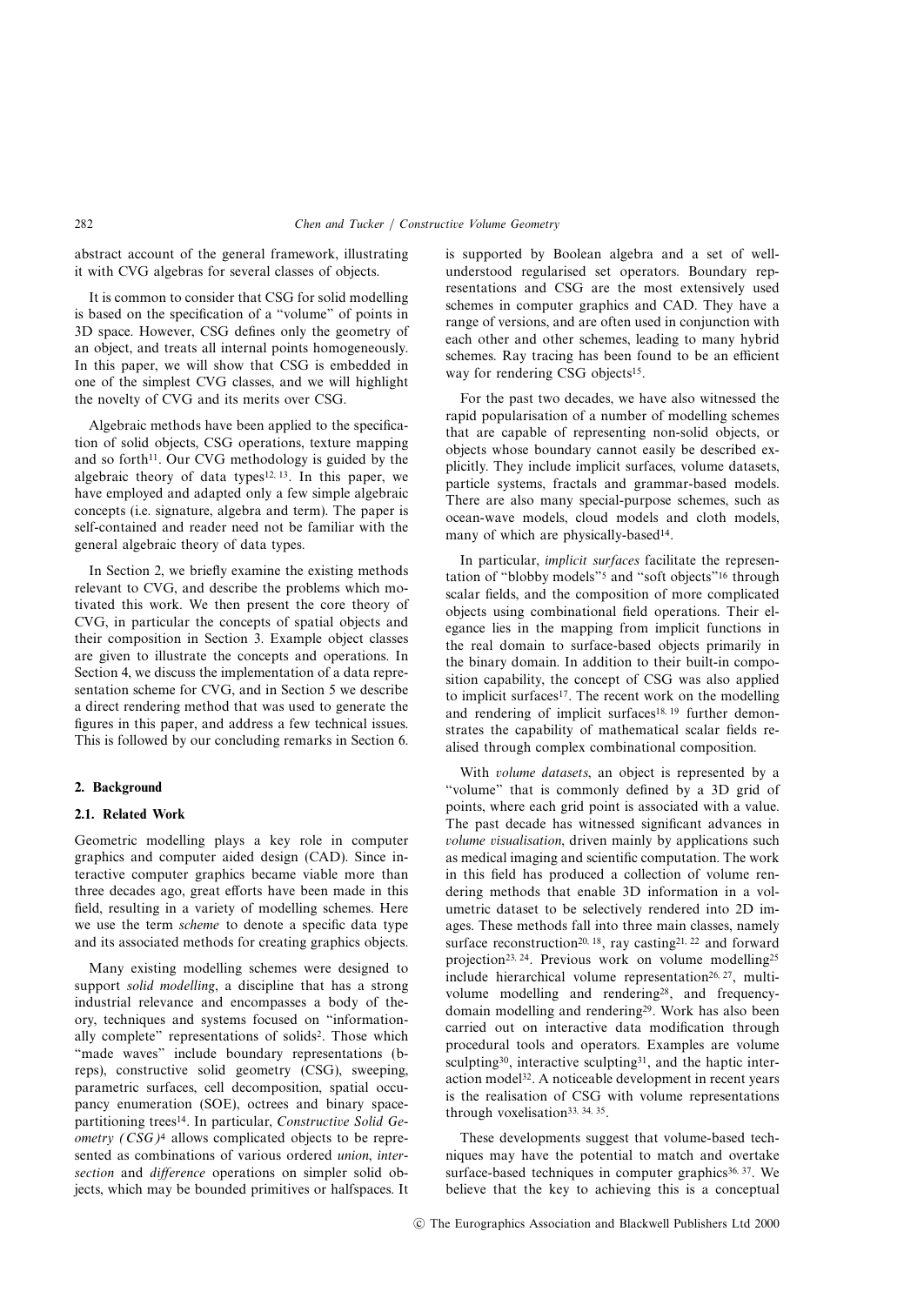abstract account of the general framework, illustrating it with CVG algebras for several classes of objects.

It is common to consider that CSG for solid modelling is based on the specification of a "volume" of points in 3D space. However, CSG defines only the geometry of an object, and treats all internal points homogeneously. In this paper, we will show that CSG is embedded in one of the simplest CVG classes, and we will highlight the novelty of CVG and its merits over CSG.

Algebraic methods have been applied to the specification of solid objects, CSG operations, texture mapping and so forth<sup> $11$ </sup>. Our CVG methodology is guided by the algebraic theory of data types<sup>12, 13</sup>. In this paper, we have employed and adapted only a few simple algebraic concepts (i.e. signature, algebra and term). The paper is self-contained and reader need not be familiar with the general algebraic theory of data types.

In Section 2, we briefly examine the existing methods relevant to CVG, and describe the problems which motivated this work. We then present the core theory of CVG, in particular the concepts of spatial objects and their composition in Section 3. Example object classes are given to illustrate the concepts and operations. In Section 4, we discuss the implementation of a data representation scheme for CVG, and in Section 5 we describe a direct rendering method that was used to generate the figures in this paper, and address a few technical issues. This is followed by our concluding remarks in Section 6.

#### **2. Background**

# **2.1. Related Work**

Geometric modelling plays a key role in computer graphics and computer aided design (CAD). Since interactive computer graphics became viable more than three decades ago, great efforts have been made in this field, resulting in a variety of modelling schemes. Here we use the term scheme to denote a specific data type and its associated methods for creating graphics objects.

Many existing modelling schemes were designed to support *solid modelling*, a discipline that has a strong industrial relevance and encompasses a body of theory, techniques and systems focused on "informationally complete" representations of solids2. Those which "made waves" include boundary representations (breps), constructive solid geometry (CSG), sweeping, parametric surfaces, cell decomposition, spatial occupancy enumeration (SOE), octrees and binary spacepartitioning trees<sup>14</sup>. In particular, Constructive Solid Geometry (CSG)<sup>4</sup> allows complicated objects to be represented as combinations of various ordered union, intersection and *difference* operations on simpler solid objects, which may be bounded primitives or halfspaces. It is supported by Boolean algebra and a set of wellunderstood regularised set operators. Boundary representations and CSG are the most extensively used schemes in computer graphics and CAD. They have a range of versions, and are often used in conjunction with each other and other schemes, leading to many hybrid schemes. Ray tracing has been found to be an efficient way for rendering CSG objects<sup>15</sup>.

For the past two decades, we have also witnessed the rapid popularisation of a number of modelling schemes that are capable of representing non-solid objects, or objects whose boundary cannot easily be described explicitly. They include implicit surfaces, volume datasets, particle systems, fractals and grammar-based models. There are also many special-purpose schemes, such as ocean-wave models, cloud models and cloth models, many of which are physically-based<sup>14</sup>.

In particular, implicit surfaces facilitate the representation of "blobby models"5 and "soft objects"16 through scalar fields, and the composition of more complicated objects using combinational field operations. Their elegance lies in the mapping from implicit functions in the real domain to surface-based objects primarily in the binary domain. In addition to their built-in composition capability, the concept of CSG was also applied to implicit surfaces<sup>17</sup>. The recent work on the modelling and rendering of implicit surfaces<sup>18, 19</sup> further demonstrates the capability of mathematical scalar fields realised through complex combinational composition.

With volume datasets, an object is represented by a "volume" that is commonly defined by a 3D grid of points, where each grid point is associated with a value. The past decade has witnessed significant advances in volume visualisation, driven mainly by applications such as medical imaging and scientific computation. The work in this field has produced a collection of volume rendering methods that enable 3D information in a volumetric dataset to be selectively rendered into 2D images. These methods fall into three main classes, namely surface reconstruction<sup>20, 18</sup>, ray casting<sup>21, 22</sup> and forward projection23, 24. Previous work on volume modelling25 include hierarchical volume representation<sup>26, 27</sup>, multivolume modelling and rendering28, and frequencydomain modelling and rendering29. Work has also been carried out on interactive data modification through procedural tools and operators. Examples are volume sculpting<sup>30</sup>, interactive sculpting<sup>31</sup>, and the haptic interaction model<sup>32</sup>. A noticeable development in recent years is the realisation of CSG with volume representations through voxelisation33, <sup>34</sup>, 35.

These developments suggest that volume-based techniques may have the potential to match and overtake surface-based techniques in computer graphics<sup>36, 37</sup>. We believe that the key to achieving this is a conceptual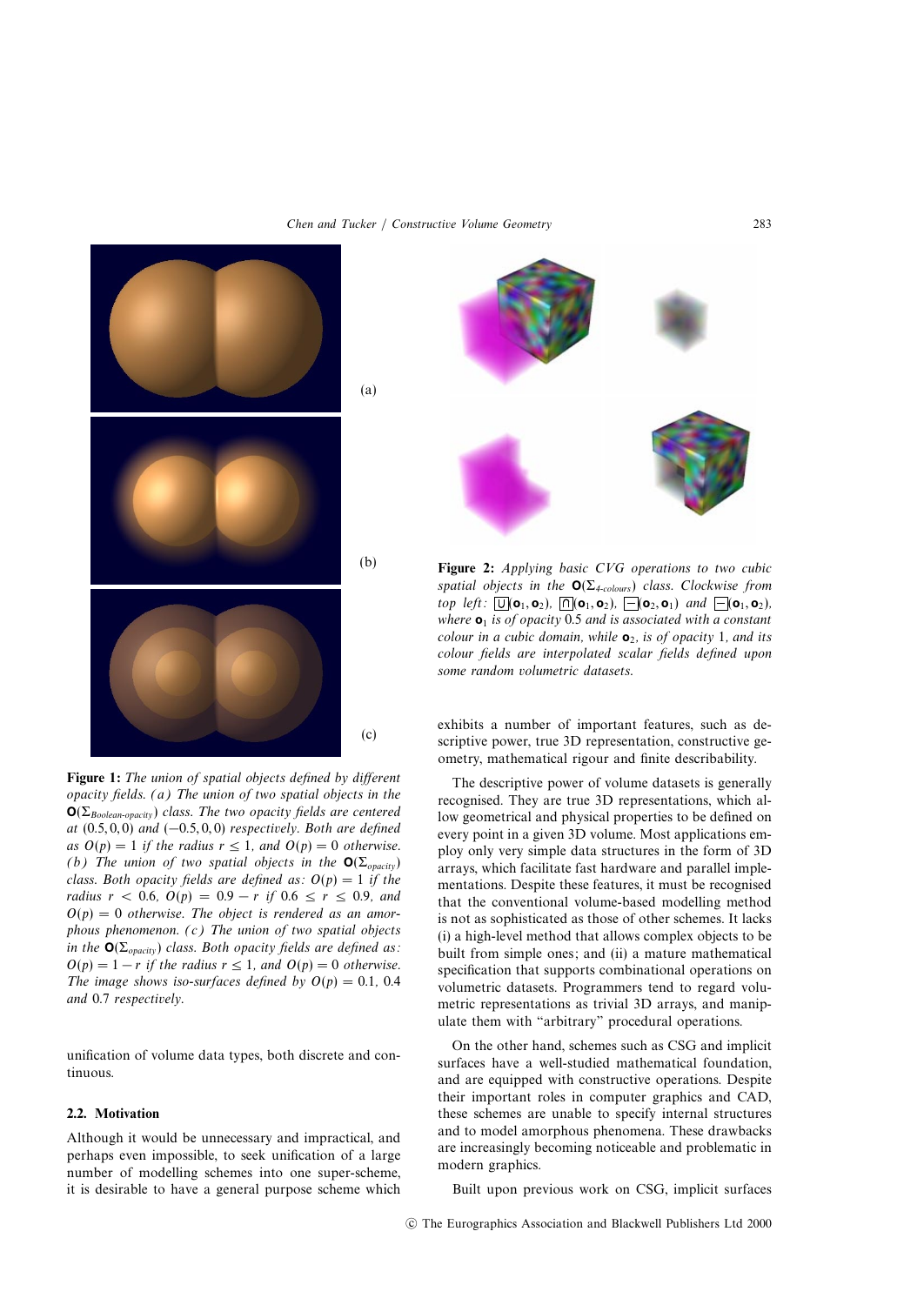

**Figure 1:** The union of spatial objects defined by different opacity fields. (a) The union of two spatial objects in the  $\mathbf{O}(\Sigma_{Boolean\text{-} opacity})$  class. The two opacity fields are centered at  $(0.5, 0, 0)$  and  $(-0.5, 0, 0)$  respectively. Both are defined as  $O(p)=1$  if the radius  $r \le 1$ , and  $O(p)=0$  otherwise. (b) The union of two spatial objects in the  $O(\Sigma_{\text{onacity}})$ class. Both opacity fields are defined as:  $O(p)=1$  if the *radius*  $r$  < 0.6,  $O(p) = 0.9 - r$  *if* 0.6 ≤  $r$  ≤ 0.9, and  $O(p)=0$  otherwise. The object is rendered as an amorphous phenomenon. (c) The union of two spatial objects in the  $\mathbf{O}(\Sigma_{\text{opacity}})$  class. Both opacity fields are defined as:  $O(p)=1 - r$  if the radius  $r \le 1$ , and  $O(p)=0$  otherwise. The image shows iso-surfaces defined by  $O(p)=0.1$ , 0.4 and 0.7 respectively.

unification of volume data types, both discrete and continuous.

# **2.2. Motivation**

Although it would be unnecessary and impractical, and perhaps even impossible, to seek unification of a large number of modelling schemes into one super-scheme, it is desirable to have a general purpose scheme which



**Figure 2:** Applying basic CVG operations to two cubic spatial objects in the  $O(\Sigma_{4\text{-colours}})$  class. Clockwise from top left:  $\boxed{U}(\mathbf{o}_1, \mathbf{o}_2)$ ,  $\boxed{\cap}(\mathbf{o}_1, \mathbf{o}_2)$ ,  $\boxed{-}(\mathbf{o}_2, \mathbf{o}_1)$  and  $\boxed{-}(\mathbf{o}_1, \mathbf{o}_2)$ , where  $\mathbf{o}_1$  is of opacity 0.5 and is associated with a constant colour in a cubic domain, while  $\mathbf{o}_2$ , is of opacity 1, and its colour fields are interpolated scalar fields defined upon some random volumetric datasets.

exhibits a number of important features, such as descriptive power, true 3D representation, constructive geometry, mathematical rigour and finite describability.

The descriptive power of volume datasets is generally recognised. They are true 3D representations, which allow geometrical and physical properties to be defined on every point in a given 3D volume. Most applications employ only very simple data structures in the form of 3D arrays, which facilitate fast hardware and parallel implementations. Despite these features, it must be recognised that the conventional volume-based modelling method is not as sophisticated as those of other schemes. It lacks (i) a high-level method that allows complex objects to be built from simple ones; and (ii) a mature mathematical specification that supports combinational operations on volumetric datasets. Programmers tend to regard volumetric representations as trivial 3D arrays, and manipulate them with "arbitrary" procedural operations.

On the other hand, schemes such as CSG and implicit surfaces have a well-studied mathematical foundation, and are equipped with constructive operations. Despite their important roles in computer graphics and CAD, these schemes are unable to specify internal structures and to model amorphous phenomena. These drawbacks are increasingly becoming noticeable and problematic in modern graphics.

Built upon previous work on CSG, implicit surfaces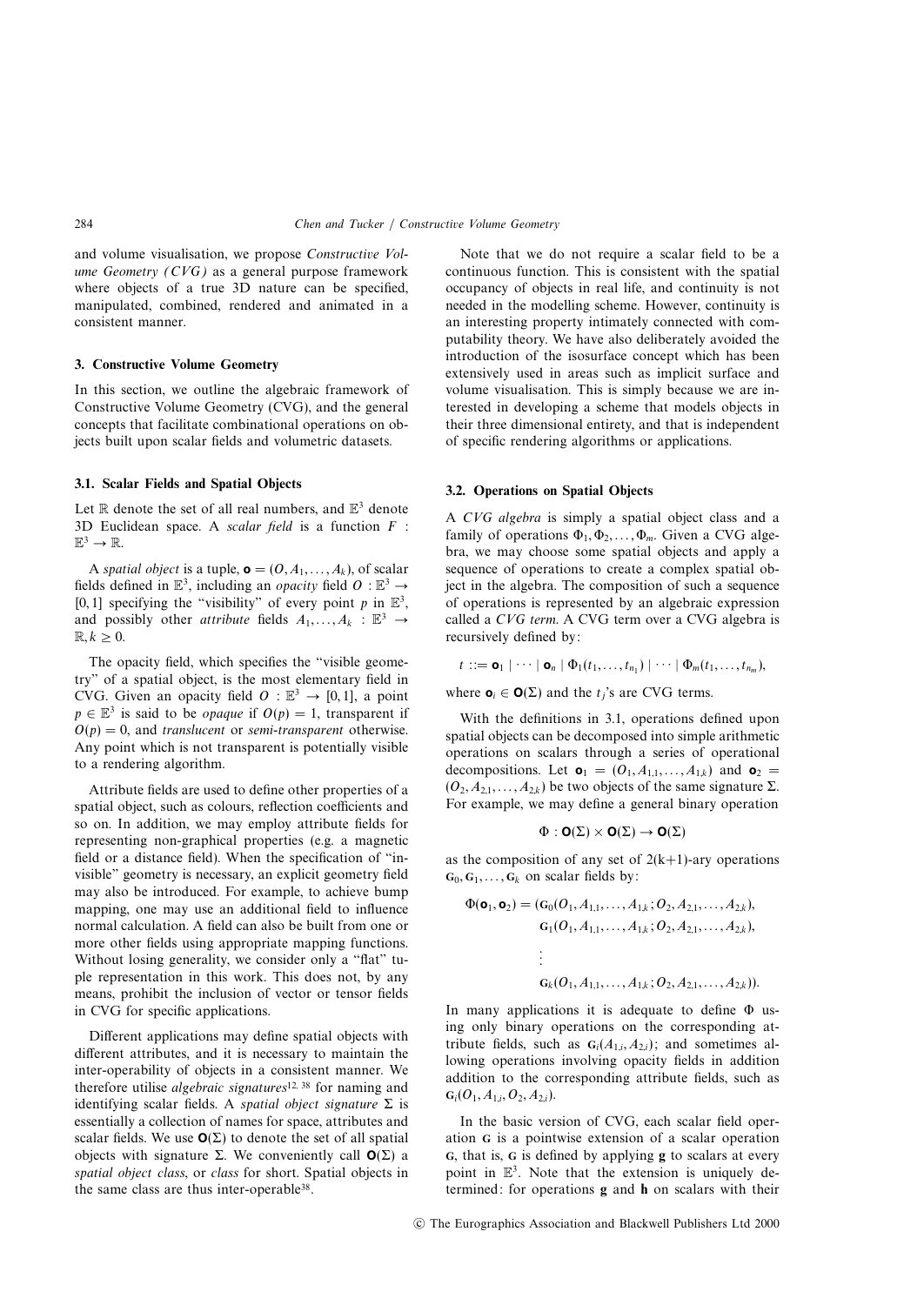and volume visualisation, we propose Constructive Volume Geometry (CVG) as a general purpose framework where objects of a true 3D nature can be specified, manipulated, combined, rendered and animated in a consistent manner.

## **3. Constructive Volume Geometry**

In this section, we outline the algebraic framework of Constructive Volume Geometry (CVG), and the general concepts that facilitate combinational operations on objects built upon scalar fields and volumetric datasets.

# **3.1. Scalar Fields and Spatial Objects**

Let  $\mathbb R$  denote the set of all real numbers, and  $\mathbb E^3$  denote 3D Euclidean space. A scalar field is a function  $F$ :  $\mathbb{E}^3 \to \mathbb{R}$ .

A spatial object is a tuple,  $\mathbf{o} = (0, A_1, \ldots, A_k)$ , of scalar fields defined in  $\mathbb{E}^3$ , including an *opacity* field  $O : \mathbb{E}^3 \rightarrow$ [0, 1] specifying the "visibility" of every point p in  $\mathbb{E}^3$ , and possibly other *attribute* fields  $A_1, \ldots, A_k : \mathbb{E}^3 \to$  $\mathbb{R} \cdot k > 0$ .

The opacity field, which specifies the "visible geometry" of a spatial object, is the most elementary field in CVG. Given an opacity field  $O : \mathbb{E}^3 \to [0, 1]$ , a point  $p \in \mathbb{E}^{3}$  is said to be *opaque* if  $O(p) = 1$ , transparent if  $O(p) = 0$ , and translucent or semi-transparent otherwise. Any point which is not transparent is potentially visible to a rendering algorithm.

Attribute fields are used to define other properties of a spatial object, such as colours, reflection coefficients and so on. In addition, we may employ attribute fields for representing non-graphical properties (e.g. a magnetic field or a distance field). When the specification of "invisible" geometry is necessary, an explicit geometry field may also be introduced. For example, to achieve bump mapping, one may use an additional field to influence normal calculation. A field can also be built from one or more other fields using appropriate mapping functions. Without losing generality, we consider only a "flat" tuple representation in this work. This does not, by any means, prohibit the inclusion of vector or tensor fields in CVG for specific applications.

Different applications may define spatial objects with different attributes, and it is necessary to maintain the inter-operability of objects in a consistent manner. We therefore utilise *algebraic signatures*<sup>12, 38</sup> for naming and identifying scalar fields. A spatial object signature  $\Sigma$  is essentially a collection of names for space, attributes and scalar fields. We use  $O(\Sigma)$  to denote the set of all spatial objects with signature Σ. We conveniently call **O**(Σ) a spatial object class, or class for short. Spatial objects in the same class are thus inter-operable38.

Note that we do not require a scalar field to be a continuous function. This is consistent with the spatial occupancy of objects in real life, and continuity is not needed in the modelling scheme. However, continuity is an interesting property intimately connected with computability theory. We have also deliberately avoided the introduction of the isosurface concept which has been extensively used in areas such as implicit surface and volume visualisation. This is simply because we are interested in developing a scheme that models objects in their three dimensional entirety, and that is independent of specific rendering algorithms or applications.

#### **3.2. Operations on Spatial Objects**

A CVG algebra is simply a spatial object class and a family of operations  $\Phi_1, \Phi_2, \dots, \Phi_m$ . Given a CVG algebra, we may choose some spatial objects and apply a sequence of operations to create a complex spatial object in the algebra. The composition of such a sequence of operations is represented by an algebraic expression called a CVG term. A CVG term over a CVG algebra is recursively defined by:

$$
t ::= \mathbf{o}_1 | \cdots | \mathbf{o}_n | \Phi_1(t_1, \ldots, t_{n_1}) | \cdots | \Phi_m(t_1, \ldots, t_{n_m}),
$$

where  $\mathbf{o}_i \in \mathbf{O}(\Sigma)$  and the  $t_i$ 's are CVG terms.

With the definitions in 3.1, operations defined upon spatial objects can be decomposed into simple arithmetic operations on scalars through a series of operational decompositions. Let  $\mathbf{o}_1 = (O_1, A_{1,1}, \ldots, A_{1,k})$  and  $\mathbf{o}_2 =$  $(O_2, A_{2,1},...,A_{2,k})$  be two objects of the same signature Σ. For example, we may define a general binary operation

$$
\Phi: \textbf{O}(\Sigma) \times \textbf{O}(\Sigma) \to \textbf{O}(\Sigma)
$$

as the composition of any set of  $2(k+1)$ -ary operations  $\mathbf{G}_0, \mathbf{G}_1, \ldots, \mathbf{G}_k$  on scalar fields by:

$$
\Phi(\mathbf{o}_1, \mathbf{o}_2) = (G_0(O_1, A_{1,1},..., A_{1,k}; O_2, A_{2,1},..., A_{2,k}),
$$
  
\n
$$
G_1(O_1, A_{1,1},..., A_{1,k}; O_2, A_{2,1},..., A_{2,k}),
$$
  
\n
$$
\vdots
$$
  
\n
$$
G_k(O_1, A_{1,1},..., A_{1,k}; O_2, A_{2,1},..., A_{2,k})).
$$

In many applications it is adequate to define Φ using only binary operations on the corresponding attribute fields, such as  $G_i(A_{1,i}, A_{2,i})$ ; and sometimes allowing operations involving opacity fields in addition addition to the corresponding attribute fields, such as  $G_i(O_1, A_{1,i}, O_2, A_{2,i}).$ 

In the basic version of CVG, each scalar field operation **G** is a pointwise extension of a scalar operation **G**, that is, **G** is defined by applying **g** to scalars at every point in  $\mathbb{E}^3$ . Note that the extension is uniquely determined: for operations **g** and **h** on scalars with their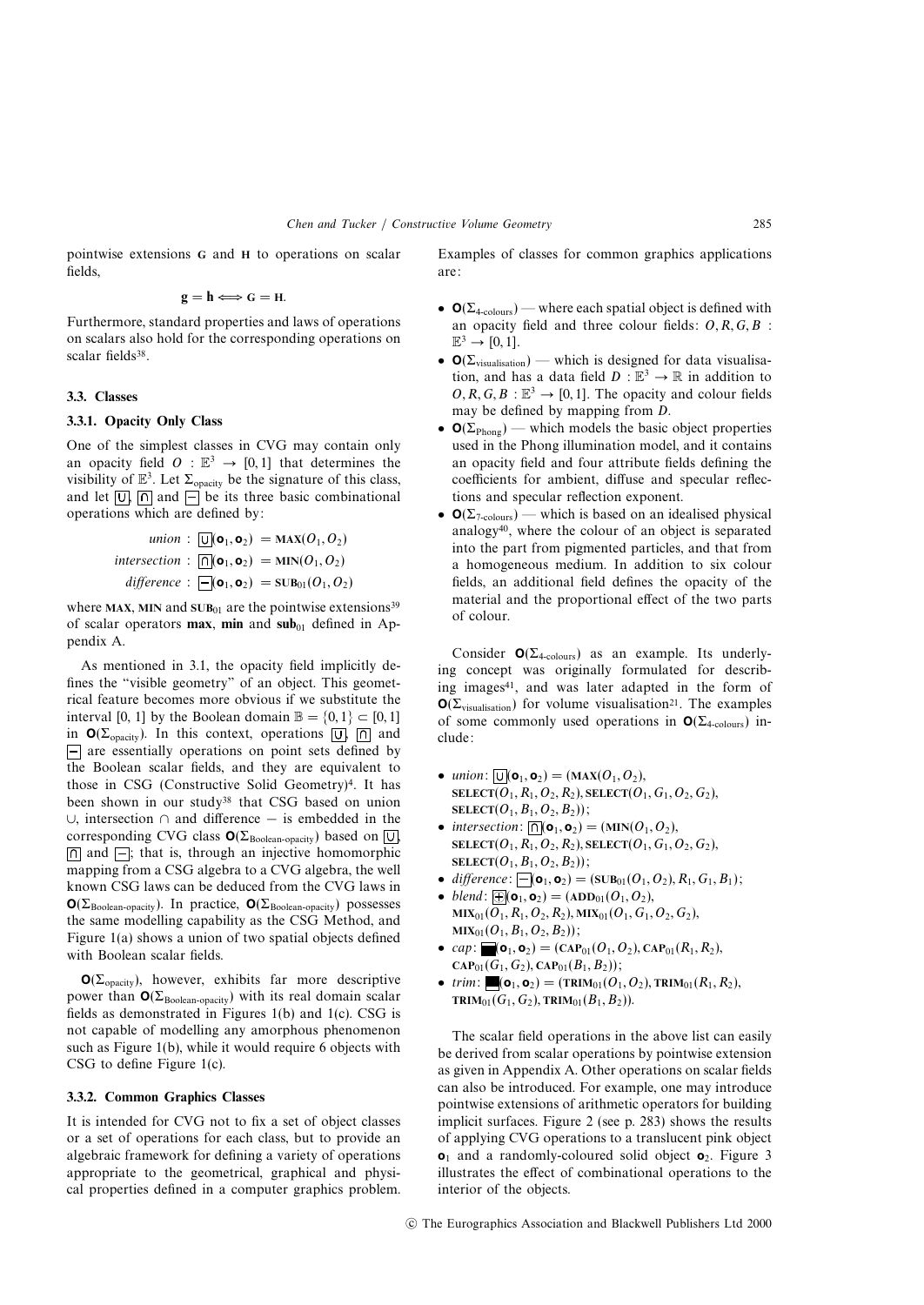pointwise extensions **G** and **H** to operations on scalar fields,

$$
\mathbf{g} = \mathbf{h} \Longleftrightarrow \mathbf{G} = \mathbf{H}.
$$

Furthermore, standard properties and laws of operations on scalars also hold for the corresponding operations on scalar fields<sup>38</sup>.

# **3.3. Classes**

#### **3.3.1. Opacity Only Class**

One of the simplest classes in CVG may contain only an opacity field  $O : \mathbb{E}^3 \to [0,1]$  that determines the visibility of  $\mathbb{E}^3$ . Let  $\Sigma_{\text{onacity}}$  be the signature of this class, and let  $\boxed{U}$ ,  $\boxed{\cap}$  and  $\boxed{\equiv}$  be its three basic combinational operations which are defined by:

$$
\text{union}: \boxed{\cup}(\mathbf{o}_1, \mathbf{o}_2) = \text{MAX}(O_1, O_2)
$$
\n
$$
\text{intersection}: \boxed{\cap}(\mathbf{o}_1, \mathbf{o}_2) = \text{MIN}(O_1, O_2)
$$
\n
$$
\text{difference}: \boxed{\cup}(\mathbf{o}_1, \mathbf{o}_2) = \text{SUB}_{01}(O_1, O_2)
$$

where **MAX**, MIN and **SUB**<sub>01</sub> are the pointwise extensions<sup>39</sup> of scalar operators **max**, **min** and  $\text{sub}_{01}$  defined in Appendix A.

As mentioned in 3.1, the opacity field implicitly defines the "visible geometry" of an object. This geometrical feature becomes more obvious if we substitute the interval [0, 1] by the Boolean domain  $\mathbb{B} = \{0, 1\} \subset [0, 1]$ in  $\mathbf{O}(\Sigma_{\text{onacity}})$ . In this context, operations  $|\overline{U}|$ ,  $|\overline{U}|$  and  $\Box$  are essentially operations on point sets defined by the Boolean scalar fields, and they are equivalent to those in CSG (Constructive Solid Geometry)4. It has been shown in our study38 that CSG based on union ∪, intersection ∩ and difference − is embedded in the corresponding CVG class  $O(\Sigma_{\text{Boolean- opacity}})$  based on  $\overline{U}$ ,  $\lceil \bigcap$  and  $\lceil \bigcap$ ; that is, through an injective homomorphic mapping from a CSG algebra to a CVG algebra, the well known CSG laws can be deduced from the CVG laws in  $\mathbf{O}(\Sigma_{\text{Boolean-onacity}})$ . In practice,  $\mathbf{O}(\Sigma_{\text{Boolean-onacity}})$  possesses the same modelling capability as the CSG Method, and Figure 1(a) shows a union of two spatial objects defined with Boolean scalar fields.

 $O(\Sigma_{\text{opacity}})$ , however, exhibits far more descriptive power than  $O(\Sigma_{\text{Boolean-operator}})$  with its real domain scalar fields as demonstrated in Figures 1(b) and 1(c). CSG is not capable of modelling any amorphous phenomenon such as Figure 1(b), while it would require 6 objects with CSG to define Figure 1(c).

#### **3.3.2. Common Graphics Classes**

It is intended for CVG not to fix a set of object classes or a set of operations for each class, but to provide an algebraic framework for defining a variety of operations appropriate to the geometrical, graphical and physical properties defined in a computer graphics problem.

Examples of classes for common graphics applications are:

- $\mathbf{O}(\Sigma_{4\text{-colours}})$  where each spatial object is defined with an opacity field and three colour fields:  $O, R, G, B$ :  $\mathbb{E}^3 \rightarrow [0, 1].$
- $\mathbf{O}(\Sigma_{\text{visualisation}})$  which is designed for data visualisation, and has a data field  $D : \mathbb{E}^3 \to \mathbb{R}$  in addition to  $O, R, G, B : \mathbb{E}^3 \to [0, 1]$ . The opacity and colour fields may be defined by mapping from D.
- $\mathbf{O}(\Sigma_{\text{Phong}})$  which models the basic object properties used in the Phong illumination model, and it contains an opacity field and four attribute fields defining the coefficients for ambient, diffuse and specular reflections and specular reflection exponent.
- **O**(Σ7-colours) which is based on an idealised physical analogy40, where the colour of an object is separated into the part from pigmented particles, and that from a homogeneous medium. In addition to six colour fields, an additional field defines the opacity of the material and the proportional effect of the two parts of colour.

Consider  $O(\Sigma_{4\text{-colours}})$  as an example. Its underlying concept was originally formulated for describing images41, and was later adapted in the form of  $O(\Sigma_{visualisation})$  for volume visualisation<sup>21</sup>. The examples of some commonly used operations in  $O(\Sigma_{4\text{-colours}})$  include:

- union:  $\overline{U}(\mathbf{o}_1, \mathbf{o}_2) = (MAX(O_1, O_2)),$  $\text{SELECT}(O_1, R_1, O_2, R_2), \text{SELECT}(O_1, G_1, O_2, G_2),$ **SELECT** $(O_1, B_1, O_2, B_2)$ ;
- intersection:  $\overline{\cap}$  (**o**<sub>1</sub>, **o**<sub>2</sub>) = (MIN( $O_1$ ,  $O_2$ ), **SELECT** $(O_1, R_1, O_2, R_2)$ , **SELECT** $(O_1, G_1, O_2, G_2)$ ,  $SELECT(O_1, B_1, O_2, B_2))$ ;
- difference:  $[\neg(\mathbf{o}_1, \mathbf{o}_2) = (\mathbf{s} \mathbf{U} \mathbf{B}_{01}(O_1, O_2), R_1, G_1, B_1);$
- $\bullet$  blend:  $\overline{\oplus}$ ( $\mathbf{o}_1$ ,  $\mathbf{o}_2$ ) = (ADD<sub>01</sub>( $O_1$ ,  $O_2$ ),  $MIX<sub>01</sub>(O<sub>1</sub>, R<sub>1</sub>, O<sub>2</sub>, R<sub>2</sub>), MIX<sub>01</sub>(O<sub>1</sub>, G<sub>1</sub>, O<sub>2</sub>, G<sub>2</sub>),$  $MIX_{01}(O_1, B_1, O_2, B_2))$ ;
- cap:  $\mathbf{e}_1(\mathbf{o}_1, \mathbf{o}_2) = (\mathbf{CAP}_{01}(O_1, O_2), \mathbf{CAP}_{01}(R_1, R_2)),$  $\text{CAP}_{01}(G_1, G_2), \text{CAP}_{01}(B_1, B_2));$
- trim:  $\blacksquare$ (**o**<sub>1</sub>, **o**<sub>2</sub>) = (**TRIM**<sub>01</sub>( $O_1$ ,  $O_2$ ), **TRIM**<sub>01</sub>( $R_1$ ,  $R_2$ ), **TRIM**<sub>01</sub>( $G_1, G_2$ ), **TRIM**<sub>01</sub>( $B_1, B_2$ )).

The scalar field operations in the above list can easily be derived from scalar operations by pointwise extension as given in Appendix A. Other operations on scalar fields can also be introduced. For example, one may introduce pointwise extensions of arithmetic operators for building implicit surfaces. Figure 2 (see p. 283) shows the results of applying CVG operations to a translucent pink object  $o_1$  and a randomly-coloured solid object  $o_2$ . Figure 3 illustrates the effect of combinational operations to the interior of the objects.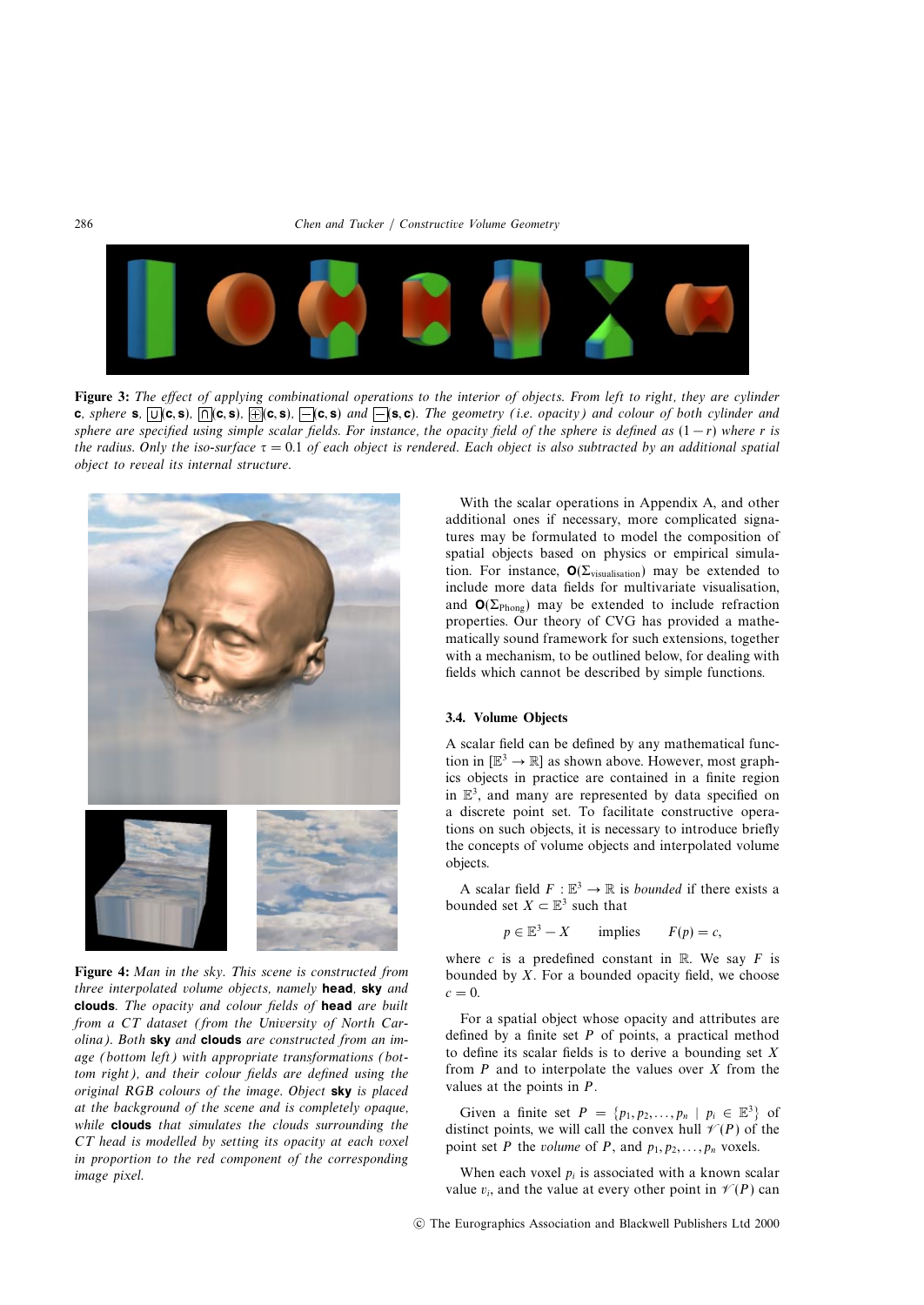

Figure 3: The effect of applying combinational operations to the interior of objects. From left to right, they are cylinder **c**, sphere **s**,  $\overline{U}$  (**c**, **s**),  $\overline{\bigcap}$  (**c**, **s**),  $\overline{\bigcap}$  (**c**, **s**) and  $\overline{\bigcap}$  (**s**, **c**). The geometry (i.e. opacity) and colour of both cylinder and sphere are specified using simple scalar fields. For instance, the opacity field of the sphere is defined as  $(1 - r)$  where r is the radius. Only the iso-surface  $\tau = 0.1$  of each object is rendered. Each object is also subtracted by an additional spatial object to reveal its internal structure.



**Figure 4:** Man in the sky. This scene is constructed from three interpolated volume objects, namely **head**, **sky** and **clouds**. The opacity and colour fields of **head** are built from a CT dataset (from the University of North Carolina). Both **sky** and **clouds** are constructed from an image (bottom left) with appropriate transformations (bottom right), and their colour fields are defined using the original RGB colours of the image. Object **sky** is placed at the background of the scene and is completely opaque, while **clouds** that simulates the clouds surrounding the CT head is modelled by setting its opacity at each voxel in proportion to the red component of the corresponding image pixel.

With the scalar operations in Appendix A, and other additional ones if necessary, more complicated signatures may be formulated to model the composition of spatial objects based on physics or empirical simulation. For instance,  $\mathbf{O}(\Sigma_{\text{visualisation}})$  may be extended to include more data fields for multivariate visualisation, and  $O(\Sigma_{\text{Phong}})$  may be extended to include refraction properties. Our theory of CVG has provided a mathematically sound framework for such extensions, together with a mechanism, to be outlined below, for dealing with fields which cannot be described by simple functions.

#### **3.4. Volume Objects**

A scalar field can be defined by any mathematical function in  $[\mathbb{E}^3 \to \mathbb{R}]$  as shown above. However, most graphics objects in practice are contained in a finite region in  $\mathbb{E}^3$ , and many are represented by data specified on a discrete point set. To facilitate constructive operations on such objects, it is necessary to introduce briefly the concepts of volume objects and interpolated volume objects.

A scalar field  $F : \mathbb{R}^3 \to \mathbb{R}$  is *bounded* if there exists a bounded set  $X \subset \mathbb{E}^3$  such that

$$
p \in \mathbb{E}^3 - X
$$
 implies  $F(p) = c$ ,

where c is a predefined constant in  $\mathbb R$ . We say F is bounded by  $X$ . For a bounded opacity field, we choose  $c = 0$ .

For a spatial object whose opacity and attributes are defined by a finite set  $P$  of points, a practical method to define its scalar fields is to derive a bounding set  $X$ from  $P$  and to interpolate the values over  $X$  from the values at the points in P.

Given a finite set  $P = \{p_1, p_2, \ldots, p_n \mid p_i \in \mathbb{E}^3\}$  of distinct points, we will call the convex hull  $\mathcal{V}(P)$  of the point set P the volume of P, and  $p_1, p_2, \ldots, p_n$  voxels.

When each voxel  $p_i$  is associated with a known scalar value  $v_i$ , and the value at every other point in  $\mathcal{V}(P)$  can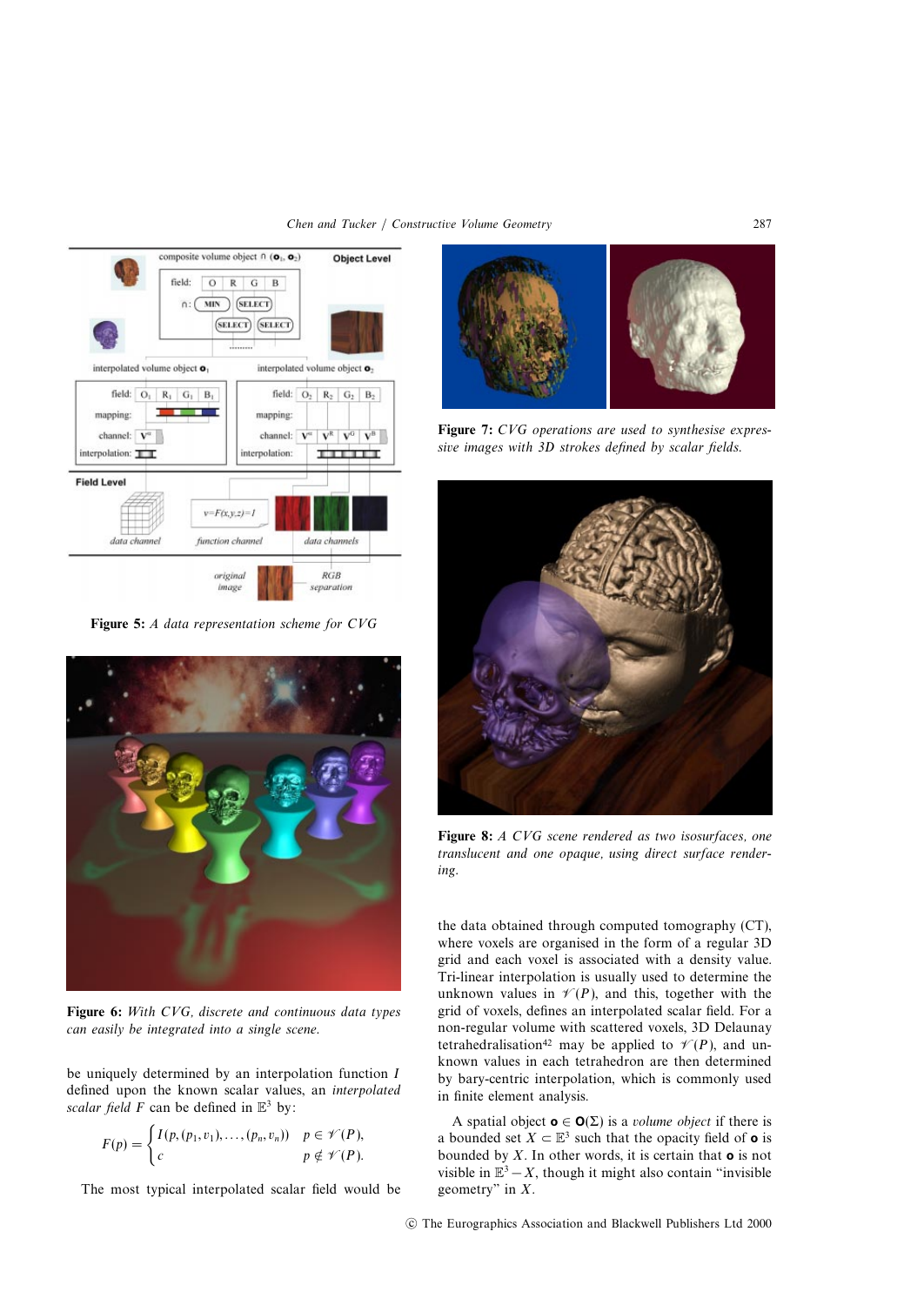

**Figure 5:** A data representation scheme for CVG



**Figure 6:** With CVG, discrete and continuous data types can easily be integrated into a single scene.

be uniquely determined by an interpolation function I defined upon the known scalar values, an interpolated scalar field F can be defined in  $\mathbb{E}^3$  by:

$$
F(p) = \begin{cases} I(p,(p_1,v_1),\ldots,(p_n,v_n)) & p \in \mathscr{V}(P), \\ c & p \notin \mathscr{V}(P). \end{cases}
$$

The most typical interpolated scalar field would be



**Figure 7:** CVG operations are used to synthesise expressive images with 3D strokes defined by scalar fields.



**Figure 8:** A CVG scene rendered as two isosurfaces, one translucent and one opaque, using direct surface rendering.

the data obtained through computed tomography (CT), where voxels are organised in the form of a regular 3D grid and each voxel is associated with a density value. Tri-linear interpolation is usually used to determine the unknown values in  $\mathcal{V}(P)$ , and this, together with the grid of voxels, defines an interpolated scalar field. For a non-regular volume with scattered voxels, 3D Delaunay tetrahedralisation<sup>42</sup> may be applied to  $\mathcal{V}(P)$ , and unknown values in each tetrahedron are then determined by bary-centric interpolation, which is commonly used in finite element analysis.

A spatial object  $o \in O(\Sigma)$  is a *volume object* if there is a bounded set  $X \subset \mathbb{E}^3$  such that the opacity field of **o** is bounded by X. In other words, it is certain that **o** is not visible in  $\mathbb{E}^3 - X$ , though it might also contain "invisible" geometry" in  $X$ .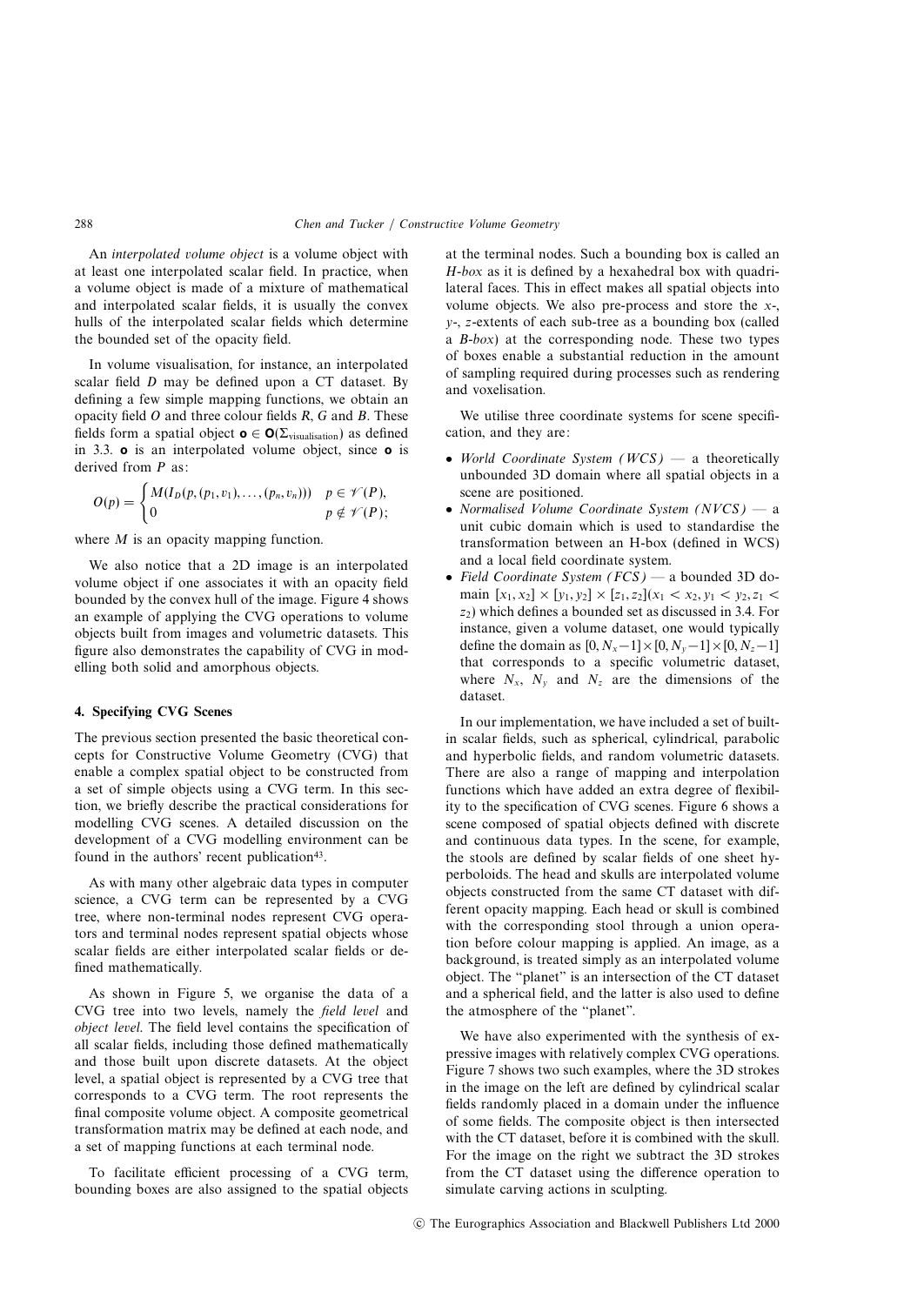An interpolated volume object is a volume object with at least one interpolated scalar field. In practice, when a volume object is made of a mixture of mathematical and interpolated scalar fields, it is usually the convex hulls of the interpolated scalar fields which determine the bounded set of the opacity field.

In volume visualisation, for instance, an interpolated scalar field D may be defined upon a CT dataset. By defining a few simple mapping functions, we obtain an opacity field  $O$  and three colour fields  $R$ ,  $G$  and  $B$ . These fields form a spatial object  $\mathbf{o} \in \mathbf{O}(\Sigma_{\text{visualisation}})$  as defined in 3.3. **o** is an interpolated volume object, since **o** is derived from P as:

$$
O(p) = \begin{cases} M(I_D(p,(p_1,v_1),\ldots,(p_n,v_n))) & p \in \mathscr{V}(P), \\ 0 & p \notin \mathscr{V}(P); \end{cases}
$$

where *M* is an opacity mapping function.

We also notice that a 2D image is an interpolated volume object if one associates it with an opacity field bounded by the convex hull of the image. Figure 4 shows an example of applying the CVG operations to volume objects built from images and volumetric datasets. This figure also demonstrates the capability of CVG in modelling both solid and amorphous objects.

#### **4. Specifying CVG Scenes**

The previous section presented the basic theoretical concepts for Constructive Volume Geometry (CVG) that enable a complex spatial object to be constructed from a set of simple objects using a CVG term. In this section, we briefly describe the practical considerations for modelling CVG scenes. A detailed discussion on the development of a CVG modelling environment can be found in the authors' recent publication<sup>43</sup>.

As with many other algebraic data types in computer science, a CVG term can be represented by a CVG tree, where non-terminal nodes represent CVG operators and terminal nodes represent spatial objects whose scalar fields are either interpolated scalar fields or defined mathematically.

As shown in Figure 5, we organise the data of a CVG tree into two levels, namely the field level and object level. The field level contains the specification of all scalar fields, including those defined mathematically and those built upon discrete datasets. At the object level, a spatial object is represented by a CVG tree that corresponds to a CVG term. The root represents the final composite volume object. A composite geometrical transformation matrix may be defined at each node, and a set of mapping functions at each terminal node.

To facilitate efficient processing of a CVG term, bounding boxes are also assigned to the spatial objects at the terminal nodes. Such a bounding box is called an H-box as it is defined by a hexahedral box with quadrilateral faces. This in effect makes all spatial objects into volume objects. We also pre-process and store the x-,  $y$ -, *z*-extents of each sub-tree as a bounding box (called a B-box) at the corresponding node. These two types of boxes enable a substantial reduction in the amount of sampling required during processes such as rendering and voxelisation.

We utilise three coordinate systems for scene specification, and they are:

- World Coordinate System  $(WCS)$  a theoretically unbounded 3D domain where all spatial objects in a scene are positioned.
- Normalised Volume Coordinate System  $(NVCS)$  a unit cubic domain which is used to standardise the transformation between an H-box (defined in WCS) and a local field coordinate system.
- Field Coordinate System (FCS) a bounded 3D domain  $[x_1, x_2] \times [y_1, y_2] \times [z_1, z_2](x_1 < x_2, y_1 < y_2, z_1 <$  $z_2$ ) which defines a bounded set as discussed in 3.4. For instance, given a volume dataset, one would typically define the domain as  $[0, N_x-1] \times [0, N_y-1] \times [0, N_z-1]$ that corresponds to a specific volumetric dataset, where  $N_x$ ,  $N_y$  and  $N_z$  are the dimensions of the dataset.

In our implementation, we have included a set of builtin scalar fields, such as spherical, cylindrical, parabolic and hyperbolic fields, and random volumetric datasets. There are also a range of mapping and interpolation functions which have added an extra degree of flexibility to the specification of CVG scenes. Figure 6 shows a scene composed of spatial objects defined with discrete and continuous data types. In the scene, for example, the stools are defined by scalar fields of one sheet hyperboloids. The head and skulls are interpolated volume objects constructed from the same CT dataset with different opacity mapping. Each head or skull is combined with the corresponding stool through a union operation before colour mapping is applied. An image, as a background, is treated simply as an interpolated volume object. The "planet" is an intersection of the CT dataset and a spherical field, and the latter is also used to define the atmosphere of the "planet".

We have also experimented with the synthesis of expressive images with relatively complex CVG operations. Figure 7 shows two such examples, where the 3D strokes in the image on the left are defined by cylindrical scalar fields randomly placed in a domain under the influence of some fields. The composite object is then intersected with the CT dataset, before it is combined with the skull. For the image on the right we subtract the 3D strokes from the CT dataset using the difference operation to simulate carving actions in sculpting.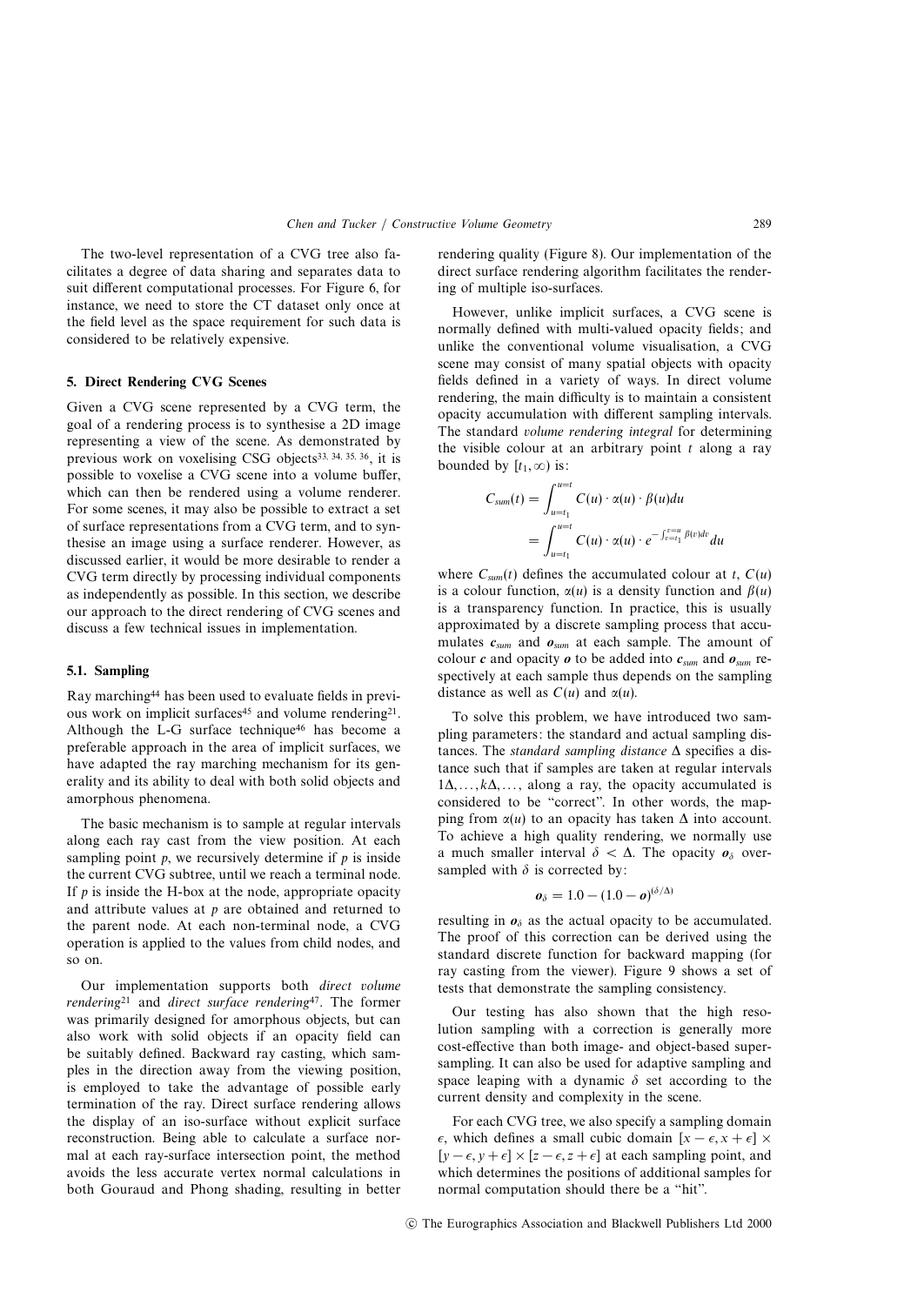The two-level representation of a CVG tree also facilitates a degree of data sharing and separates data to suit different computational processes. For Figure 6, for instance, we need to store the CT dataset only once at the field level as the space requirement for such data is considered to be relatively expensive.

### **5. Direct Rendering CVG Scenes**

Given a CVG scene represented by a CVG term, the goal of a rendering process is to synthesise a 2D image representing a view of the scene. As demonstrated by previous work on voxelising CSG objects<sup>33, 34, 35, 36</sup>, it is possible to voxelise a CVG scene into a volume buffer, which can then be rendered using a volume renderer. For some scenes, it may also be possible to extract a set of surface representations from a CVG term, and to synthesise an image using a surface renderer. However, as discussed earlier, it would be more desirable to render a CVG term directly by processing individual components as independently as possible. In this section, we describe our approach to the direct rendering of CVG scenes and discuss a few technical issues in implementation.

#### **5.1. Sampling**

Ray marching44 has been used to evaluate fields in previous work on implicit surfaces<sup>45</sup> and volume rendering<sup>21</sup>. Although the L-G surface technique<sup>46</sup> has become a preferable approach in the area of implicit surfaces, we have adapted the ray marching mechanism for its generality and its ability to deal with both solid objects and amorphous phenomena.

The basic mechanism is to sample at regular intervals along each ray cast from the view position. At each sampling point  $p$ , we recursively determine if  $p$  is inside the current CVG subtree, until we reach a terminal node. If  $p$  is inside the H-box at the node, appropriate opacity and attribute values at  $p$  are obtained and returned to the parent node. At each non-terminal node, a CVG operation is applied to the values from child nodes, and so on.

Our implementation supports both direct volume rendering<sup>21</sup> and direct surface rendering<sup>47</sup>. The former was primarily designed for amorphous objects, but can also work with solid objects if an opacity field can be suitably defined. Backward ray casting, which samples in the direction away from the viewing position, is employed to take the advantage of possible early termination of the ray. Direct surface rendering allows the display of an iso-surface without explicit surface reconstruction. Being able to calculate a surface normal at each ray-surface intersection point, the method avoids the less accurate vertex normal calculations in both Gouraud and Phong shading, resulting in better

rendering quality (Figure 8). Our implementation of the direct surface rendering algorithm facilitates the rendering of multiple iso-surfaces.

However, unlike implicit surfaces, a CVG scene is normally defined with multi-valued opacity fields; and unlike the conventional volume visualisation, a CVG scene may consist of many spatial objects with opacity fields defined in a variety of ways. In direct volume rendering, the main difficulty is to maintain a consistent opacity accumulation with different sampling intervals. The standard volume rendering integral for determining the visible colour at an arbitrary point  $t$  along a ray bounded by  $[t_1, \infty)$  is:

$$
C_{sum}(t) = \int_{u=t_1}^{u=t} C(u) \cdot \alpha(u) \cdot \beta(u) du
$$
  
= 
$$
\int_{u=t_1}^{u=t} C(u) \cdot \alpha(u) \cdot e^{-\int_{v=t_1}^{v=u} \beta(v) dv} du
$$

where  $C_{sum}(t)$  defines the accumulated colour at t,  $C(u)$ is a colour function,  $\alpha(u)$  is a density function and  $\beta(u)$ is a transparency function. In practice, this is usually approximated by a discrete sampling process that accumulates  $c_{sum}$  and  $o_{sum}$  at each sample. The amount of colour c and opacity  $\boldsymbol{\rho}$  to be added into  $c_{sum}$  and  $o_{sum}$  respectively at each sample thus depends on the sampling distance as well as  $C(u)$  and  $\alpha(u)$ .

To solve this problem, we have introduced two sampling parameters: the standard and actual sampling distances. The *standard sampling distance*  $\Delta$  specifies a distance such that if samples are taken at regular intervals  $1\Delta, \ldots, k\Delta, \ldots$ , along a ray, the opacity accumulated is considered to be "correct". In other words, the mapping from  $\alpha(u)$  to an opacity has taken  $\Delta$  into account. To achieve a high quality rendering, we normally use a much smaller interval  $\delta < \Delta$ . The opacity  $\mathbf{o}_{\delta}$  oversampled with  $\delta$  is corrected by:

$$
\boldsymbol{\mathit{o}}_{\delta}=1.0-(1.0-\boldsymbol{\mathit{o}})^{(\delta/\Delta)}
$$

resulting in  $\mathbf{o}_{\delta}$  as the actual opacity to be accumulated. The proof of this correction can be derived using the standard discrete function for backward mapping (for ray casting from the viewer). Figure 9 shows a set of tests that demonstrate the sampling consistency.

Our testing has also shown that the high resolution sampling with a correction is generally more cost-effective than both image- and object-based supersampling. It can also be used for adaptive sampling and space leaping with a dynamic  $\delta$  set according to the current density and complexity in the scene.

For each CVG tree, we also specify a sampling domain  $\epsilon$ , which defines a small cubic domain  $[x - \epsilon, x + \epsilon] \times$  $[y - \epsilon, y + \epsilon] \times [z - \epsilon, z + \epsilon]$  at each sampling point, and which determines the positions of additional samples for normal computation should there be a "hit".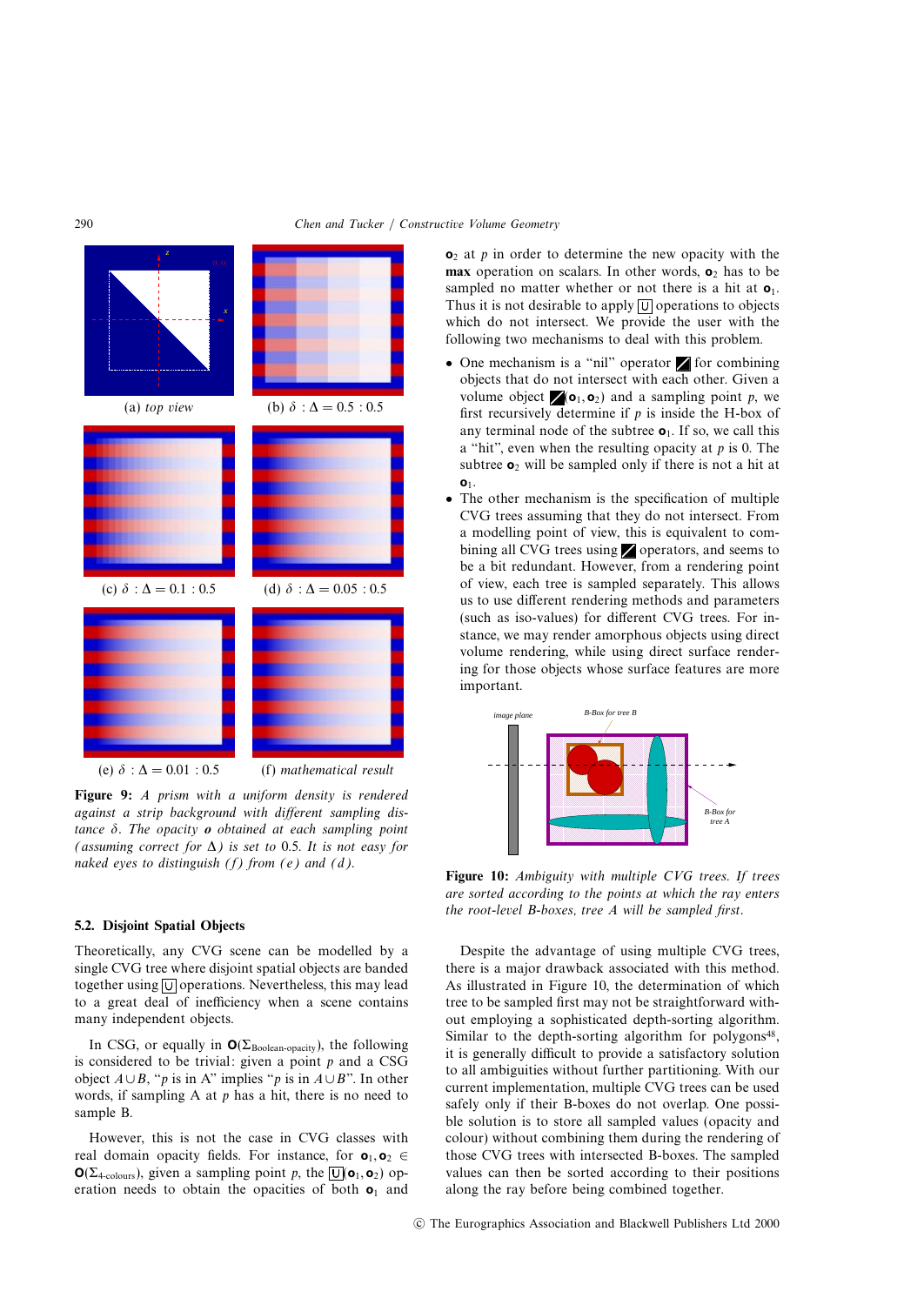

**Figure 9:** A prism with a uniform density is rendered against a strip background with different sampling distance  $\delta$ . The opacity  $\boldsymbol{o}$  obtained at each sampling point (assuming correct for  $\Delta$ ) is set to 0.5. It is not easy for naked eyes to distinguish  $(f)$  from  $(e)$  and  $(d)$ .

#### **5.2. Disjoint Spatial Objects**

Theoretically, any CVG scene can be modelled by a single CVG tree where disjoint spatial objects are banded together using  $\boxed{U}$  operations. Nevertheless, this may lead to a great deal of inefficiency when a scene contains many independent objects.

In CSG, or equally in  $O(\Sigma_{\text{Boolean-opacity}})$ , the following is considered to be trivial: given a point  $p$  and a CSG object  $A \cup B$ , "p is in A" implies "p is in  $A \cup B$ ". In other words, if sampling A at  $p$  has a hit, there is no need to sample B.

However, this is not the case in CVG classes with real domain opacity fields. For instance, for  $\mathbf{o}_1, \mathbf{o}_2 \in$ **O**( $\Sigma_{4\text{-colours}}$ ), given a sampling point p, the  $\overline{U}$ ( $\mathbf{o}_1$ ,  $\mathbf{o}_2$ ) operation needs to obtain the opacities of both **o**<sup>1</sup> and **o**<sub>2</sub> at *p* in order to determine the new opacity with the **max** operation on scalars. In other words,  $\mathbf{o}_2$  has to be sampled no matter whether or not there is a hit at  $o_1$ . Thus it is not desirable to apply  $\boxed{U}$  operations to objects which do not intersect. We provide the user with the following two mechanisms to deal with this problem.

- One mechanism is a "nil" operator  $\blacksquare$  for combining objects that do not intersect with each other. Given a volume object  $\angle(\mathbf{o}_1, \mathbf{o}_2)$  and a sampling point p, we first recursively determine if  $p$  is inside the H-box of any terminal node of the subtree  $\mathbf{o}_1$ . If so, we call this a "hit", even when the resulting opacity at  $p$  is 0. The subtree **o**<sup>2</sup> will be sampled only if there is not a hit at **o**1.
- The other mechanism is the specification of multiple CVG trees assuming that they do not intersect. From a modelling point of view, this is equivalent to combining all CVG trees using  $\blacktriangleright$  operators, and seems to be a bit redundant. However, from a rendering point of view, each tree is sampled separately. This allows us to use different rendering methods and parameters (such as iso-values) for different CVG trees. For instance, we may render amorphous objects using direct volume rendering, while using direct surface rendering for those objects whose surface features are more important.



**Figure 10:** Ambiguity with multiple CVG trees. If trees are sorted according to the points at which the ray enters the root-level B-boxes, tree A will be sampled first.

Despite the advantage of using multiple CVG trees, there is a major drawback associated with this method. As illustrated in Figure 10, the determination of which tree to be sampled first may not be straightforward without employing a sophisticated depth-sorting algorithm. Similar to the depth-sorting algorithm for polygons<sup>48</sup>, it is generally difficult to provide a satisfactory solution to all ambiguities without further partitioning. With our current implementation, multiple CVG trees can be used safely only if their B-boxes do not overlap. One possible solution is to store all sampled values (opacity and colour) without combining them during the rendering of those CVG trees with intersected B-boxes. The sampled values can then be sorted according to their positions along the ray before being combined together.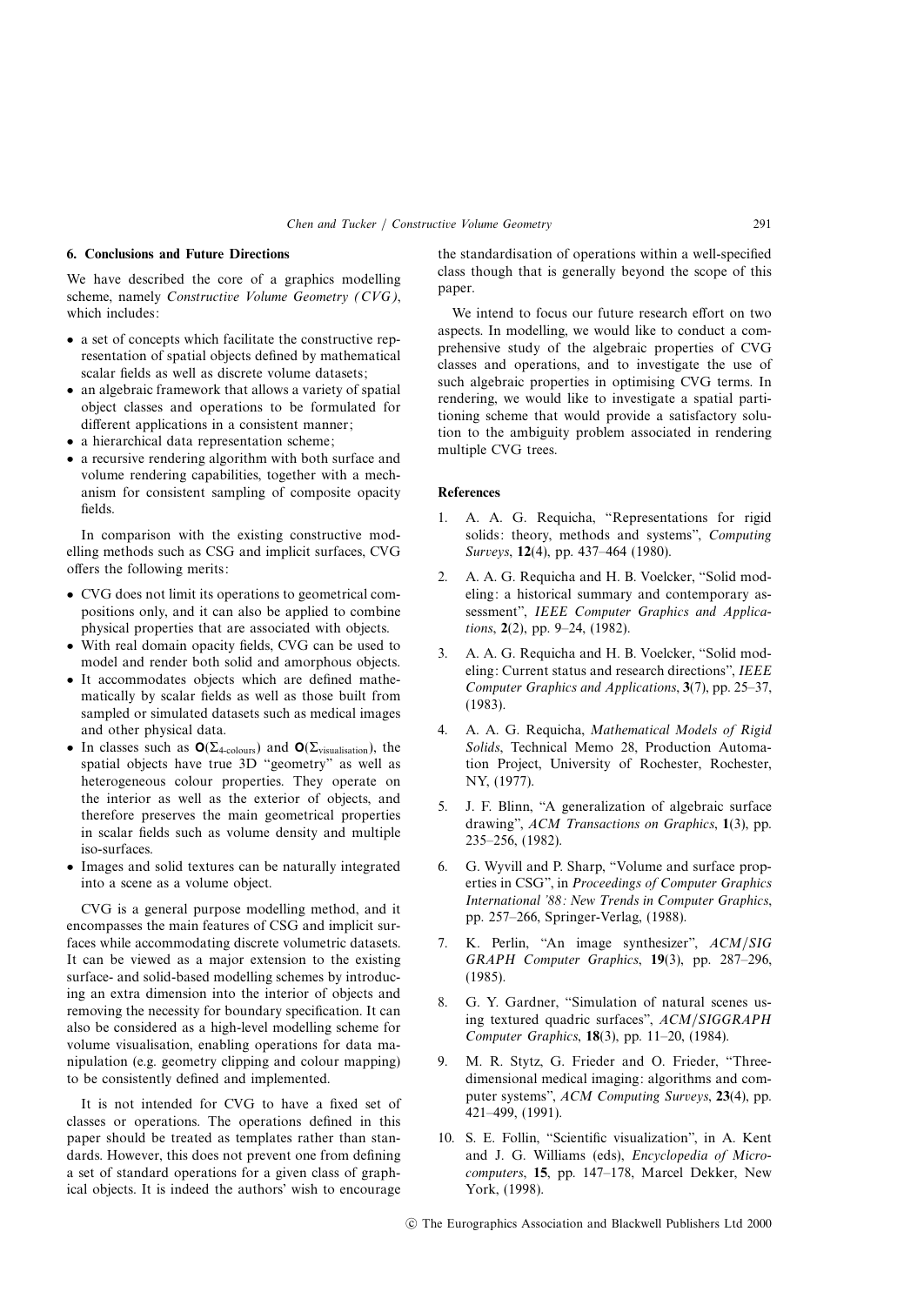## **6. Conclusions and Future Directions**

We have described the core of a graphics modelling scheme, namely Constructive Volume Geometry (CVG), which includes:

- a set of concepts which facilitate the constructive representation of spatial objects defined by mathematical scalar fields as well as discrete volume datasets;
- an algebraic framework that allows a variety of spatial object classes and operations to be formulated for different applications in a consistent manner;
- a hierarchical data representation scheme;
- a recursive rendering algorithm with both surface and volume rendering capabilities, together with a mechanism for consistent sampling of composite opacity fields.

In comparison with the existing constructive modelling methods such as CSG and implicit surfaces, CVG offers the following merits:

- CVG does not limit its operations to geometrical compositions only, and it can also be applied to combine physical properties that are associated with objects.
- With real domain opacity fields, CVG can be used to model and render both solid and amorphous objects.
- It accommodates objects which are defined mathematically by scalar fields as well as those built from sampled or simulated datasets such as medical images and other physical data.
- In classes such as **O**(Σ4-colours) and **O**(Σvisualisation), the spatial objects have true 3D "geometry" as well as heterogeneous colour properties. They operate on the interior as well as the exterior of objects, and therefore preserves the main geometrical properties in scalar fields such as volume density and multiple iso-surfaces.
- Images and solid textures can be naturally integrated into a scene as a volume object.

CVG is a general purpose modelling method, and it encompasses the main features of CSG and implicit surfaces while accommodating discrete volumetric datasets. It can be viewed as a major extension to the existing surface- and solid-based modelling schemes by introducing an extra dimension into the interior of objects and removing the necessity for boundary specification. It can also be considered as a high-level modelling scheme for volume visualisation, enabling operations for data manipulation (e.g. geometry clipping and colour mapping) to be consistently defined and implemented.

It is not intended for CVG to have a fixed set of classes or operations. The operations defined in this paper should be treated as templates rather than standards. However, this does not prevent one from defining a set of standard operations for a given class of graphical objects. It is indeed the authors' wish to encourage

the standardisation of operations within a well-specified class though that is generally beyond the scope of this paper.

We intend to focus our future research effort on two aspects. In modelling, we would like to conduct a comprehensive study of the algebraic properties of CVG classes and operations, and to investigate the use of such algebraic properties in optimising CVG terms. In rendering, we would like to investigate a spatial partitioning scheme that would provide a satisfactory solution to the ambiguity problem associated in rendering multiple CVG trees.

#### **References**

- 1. A. A. G. Requicha, "Representations for rigid solids: theory, methods and systems", Computing Surveys, **12**(4), pp. 437–464 (1980).
- 2. A. A. G. Requicha and H. B. Voelcker, "Solid modeling: a historical summary and contemporary assessment", IEEE Computer Graphics and Applications, **2**(2), pp. 9–24, (1982).
- 3. A. A. G. Requicha and H. B. Voelcker, "Solid modeling: Current status and research directions", IEEE Computer Graphics and Applications, **3**(7), pp. 25–37, (1983).
- 4. A. A. G. Requicha, Mathematical Models of Rigid Solids, Technical Memo 28, Production Automation Project, University of Rochester, Rochester, NY, (1977).
- 5. J. F. Blinn, "A generalization of algebraic surface drawing", ACM Transactions on Graphics, **1**(3), pp. 235–256, (1982).
- 6. G. Wyvill and P. Sharp, "Volume and surface properties in CSG", in Proceedings of Computer Graphics International '88: New Trends in Computer Graphics, pp. 257–266, Springer-Verlag, (1988).
- 7. K. Perlin, "An image synthesizer", ACM/SIG GRAPH Computer Graphics, **19**(3), pp. 287–296, (1985).
- 8. G. Y. Gardner, "Simulation of natural scenes using textured quadric surfaces", ACM/SIGGRAPH Computer Graphics, **18**(3), pp. 11–20, (1984).
- 9. M. R. Stytz, G. Frieder and O. Frieder, "Threedimensional medical imaging: algorithms and computer systems", ACM Computing Surveys, **23**(4), pp. 421–499, (1991).
- 10. S. E. Follin, "Scientific visualization", in A. Kent and J. G. Williams (eds), Encyclopedia of Microcomputers, **15**, pp. 147–178, Marcel Dekker, New York, (1998).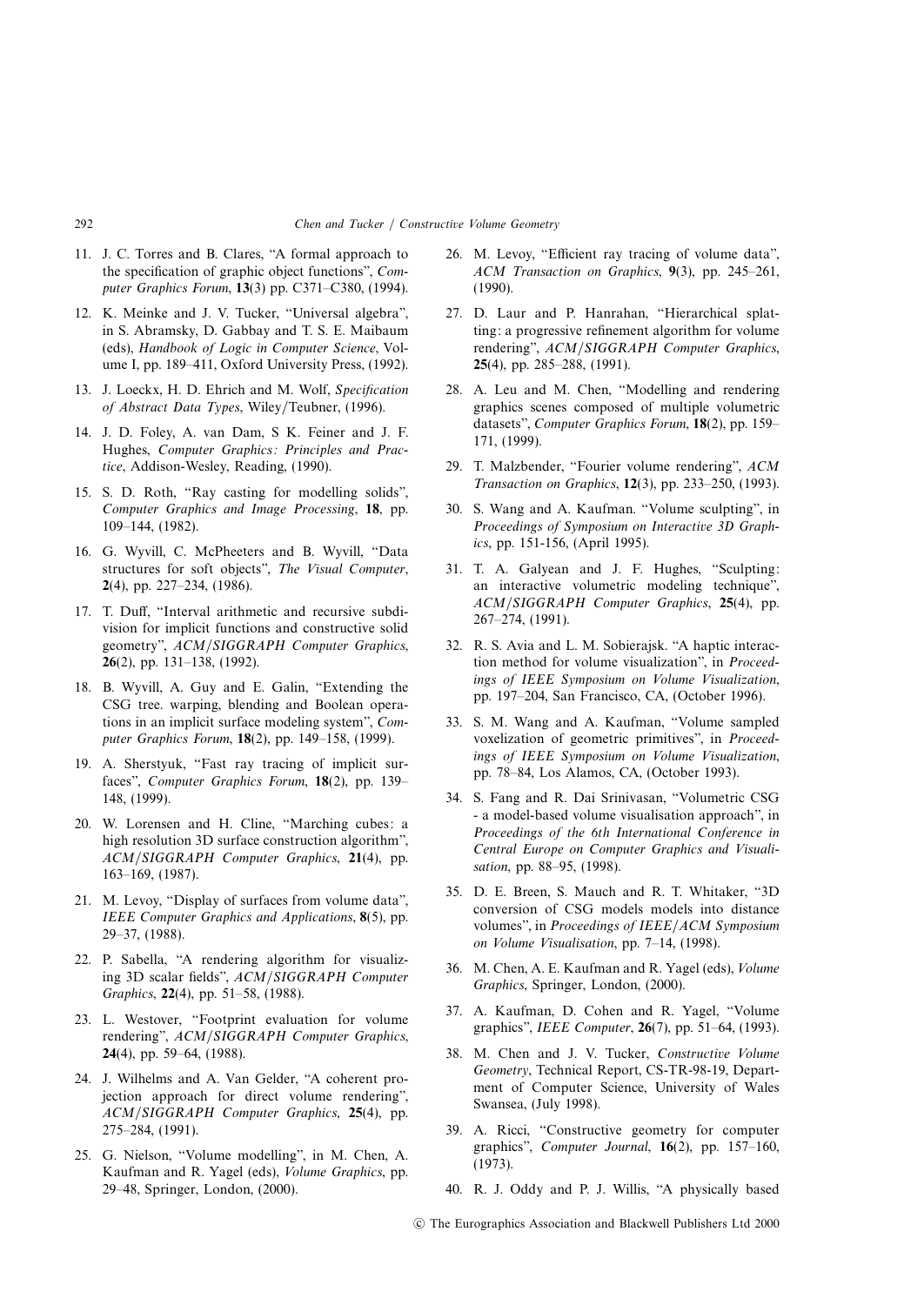- 11. J. C. Torres and B. Clares, "A formal approach to the specification of graphic object functions", Computer Graphics Forum, **13**(3) pp. C371–C380, (1994).
- 12. K. Meinke and J. V. Tucker, "Universal algebra", in S. Abramsky, D. Gabbay and T. S. E. Maibaum (eds), Handbook of Logic in Computer Science, Volume I, pp. 189–411, Oxford University Press, (1992).
- 13. J. Loeckx, H. D. Ehrich and M. Wolf, Specification of Abstract Data Types, Wiley/Teubner, (1996).
- 14. J. D. Foley, A. van Dam, S K. Feiner and J. F. Hughes, Computer Graphics: Principles and Practice, Addison-Wesley, Reading, (1990).
- 15. S. D. Roth, "Ray casting for modelling solids", Computer Graphics and Image Processing, **18**, pp. 109–144, (1982).
- 16. G. Wyvill, C. McPheeters and B. Wyvill, "Data structures for soft objects", The Visual Computer, **2**(4), pp. 227–234, (1986).
- 17. T. Duff, "Interval arithmetic and recursive subdivision for implicit functions and constructive solid geometry", ACM/SIGGRAPH Computer Graphics, **26**(2), pp. 131–138, (1992).
- 18. B. Wyvill, A. Guy and E. Galin, "Extending the CSG tree. warping, blending and Boolean operations in an implicit surface modeling system", Computer Graphics Forum, **18**(2), pp. 149–158, (1999).
- 19. A. Sherstyuk, "Fast ray tracing of implicit surfaces", Computer Graphics Forum, **18**(2), pp. 139– 148, (1999).
- 20. W. Lorensen and H. Cline, "Marching cubes: a high resolution 3D surface construction algorithm", ACM/SIGGRAPH Computer Graphics, **21**(4), pp. 163–169, (1987).
- 21. M. Levoy, "Display of surfaces from volume data", IEEE Computer Graphics and Applications, **8**(5), pp. 29–37, (1988).
- 22. P. Sabella, "A rendering algorithm for visualizing 3D scalar fields", ACM/SIGGRAPH Computer Graphics, **22**(4), pp. 51–58, (1988).
- 23. L. Westover, "Footprint evaluation for volume rendering", ACM/SIGGRAPH Computer Graphics, **24**(4), pp. 59–64, (1988).
- 24. J. Wilhelms and A. Van Gelder, "A coherent projection approach for direct volume rendering", ACM/SIGGRAPH Computer Graphics, **25**(4), pp. 275–284, (1991).
- 25. G. Nielson, "Volume modelling", in M. Chen, A. Kaufman and R. Yagel (eds), Volume Graphics, pp. 29–48, Springer, London, (2000).
- 26. M. Levoy, "Efficient ray tracing of volume data", ACM Transaction on Graphics, **9**(3), pp. 245–261, (1990).
- 27. D. Laur and P. Hanrahan, "Hierarchical splatting: a progressive refinement algorithm for volume rendering", ACM/SIGGRAPH Computer Graphics, **25**(4), pp. 285–288, (1991).
- 28. A. Leu and M. Chen, "Modelling and rendering graphics scenes composed of multiple volumetric datasets", Computer Graphics Forum, **18**(2), pp. 159– 171, (1999).
- 29. T. Malzbender, "Fourier volume rendering", ACM Transaction on Graphics, **12**(3), pp. 233–250, (1993).
- 30. S. Wang and A. Kaufman. "Volume sculpting", in Proceedings of Symposium on Interactive 3D Graphics, pp. 151-156, (April 1995).
- 31. T. A. Galyean and J. F. Hughes, "Sculpting: an interactive volumetric modeling technique", ACM/SIGGRAPH Computer Graphics, **25**(4), pp. 267–274, (1991).
- 32. R. S. Avia and L. M. Sobierajsk. "A haptic interaction method for volume visualization", in Proceedings of IEEE Symposium on Volume Visualization, pp. 197–204, San Francisco, CA, (October 1996).
- 33. S. M. Wang and A. Kaufman, "Volume sampled voxelization of geometric primitives", in Proceedings of IEEE Symposium on Volume Visualization, pp. 78–84, Los Alamos, CA, (October 1993).
- 34. S. Fang and R. Dai Srinivasan, "Volumetric CSG - a model-based volume visualisation approach", in Proceedings of the 6th International Conference in Central Europe on Computer Graphics and Visualisation, pp. 88–95, (1998).
- 35. D. E. Breen, S. Mauch and R. T. Whitaker, "3D conversion of CSG models models into distance volumes", in Proceedings of IEEE/ACM Symposium on Volume Visualisation, pp. 7–14, (1998).
- 36. M. Chen, A. E. Kaufman and R. Yagel (eds), Volume Graphics, Springer, London, (2000).
- 37. A. Kaufman, D. Cohen and R. Yagel, "Volume graphics", IEEE Computer, **26**(7), pp. 51–64, (1993).
- 38. M. Chen and J. V. Tucker, Constructive Volume Geometry, Technical Report, CS-TR-98-19, Department of Computer Science, University of Wales Swansea, (July 1998).
- 39. A. Ricci, "Constructive geometry for computer graphics", Computer Journal, **16**(2), pp. 157–160, (1973).
- 40. R. J. Oddy and P. J. Willis, "A physically based

c The Eurographics Association and Blackwell Publishers Ltd 2000